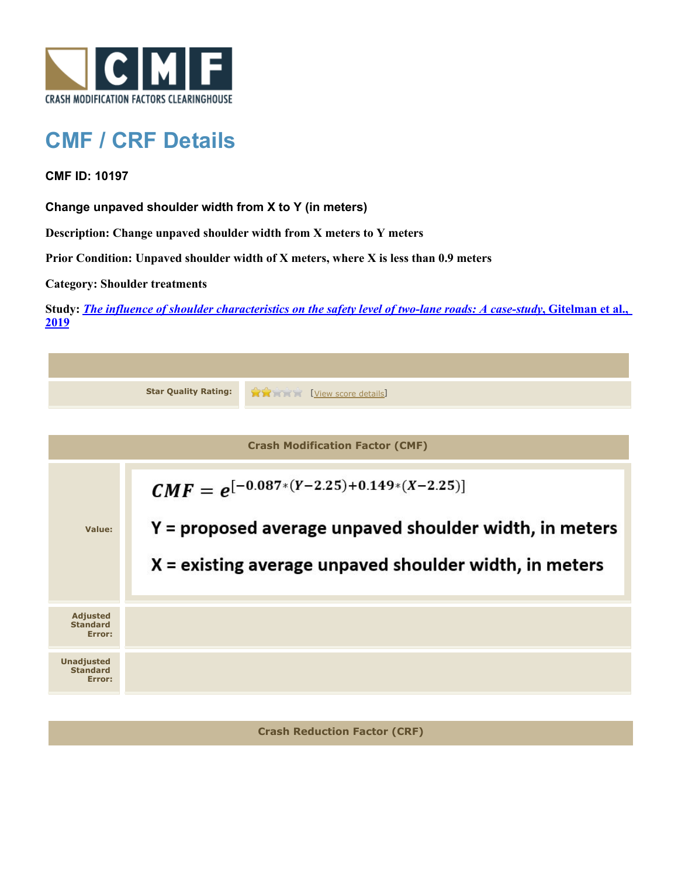

## **CMF / CRF Details**

**CMF ID: 10197**

**Change unpaved shoulder width from X to Y (in meters)**

**Description: Change unpaved shoulder width from X meters to Y meters**

**Prior Condition: Unpaved shoulder width of X meters, where X is less than 0.9 meters**

**Category: Shoulder treatments**

**Study:** *[The influence of shoulder characteristics on the safety level of two-lane roads: A case-study](http://www.cmfclearinghouse.org/study_detail.cfm?stid=584)***[, Gitelman et al.,](http://www.cmfclearinghouse.org/study_detail.cfm?stid=584) [2019](http://www.cmfclearinghouse.org/study_detail.cfm?stid=584)**

|                                                | <b>Star Quality Rating:</b>                                                                                                                                        | View score details |  |  |
|------------------------------------------------|--------------------------------------------------------------------------------------------------------------------------------------------------------------------|--------------------|--|--|
|                                                |                                                                                                                                                                    |                    |  |  |
| <b>Crash Modification Factor (CMF)</b>         |                                                                                                                                                                    |                    |  |  |
| Value:                                         | $CMF = e^{[-0.087*(Y-2.25)+0.149*(X-2.25)]}$<br>Y = proposed average unpaved shoulder width, in meters<br>$X =$ existing average unpaved shoulder width, in meters |                    |  |  |
| <b>Adjusted</b><br><b>Standard</b><br>Error:   |                                                                                                                                                                    |                    |  |  |
| <b>Unadjusted</b><br><b>Standard</b><br>Error: |                                                                                                                                                                    |                    |  |  |
|                                                |                                                                                                                                                                    |                    |  |  |

**Crash Reduction Factor (CRF)**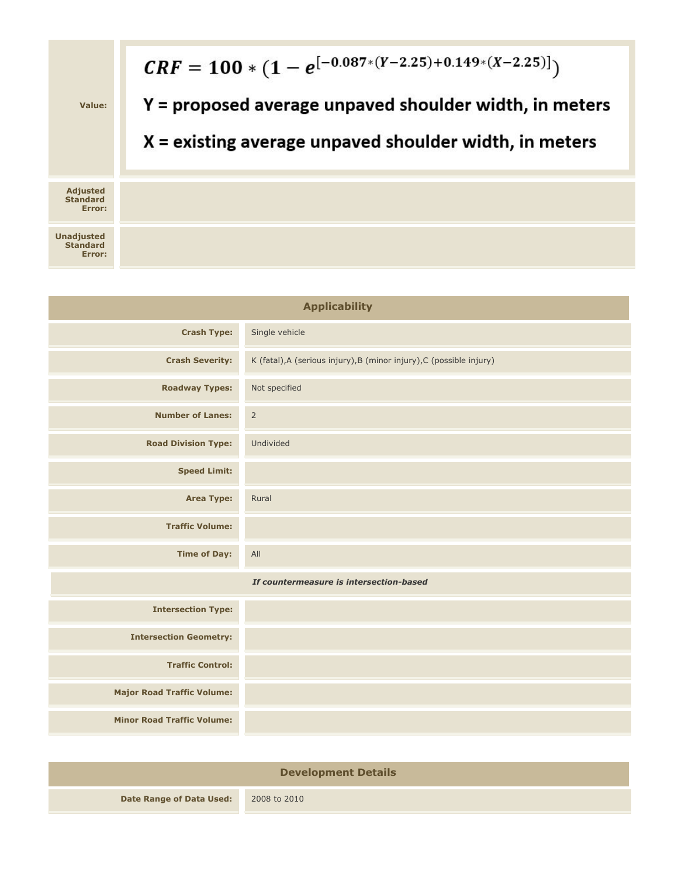

| <b>Applicability</b>                    |                                                                      |  |  |  |
|-----------------------------------------|----------------------------------------------------------------------|--|--|--|
| <b>Crash Type:</b>                      | Single vehicle                                                       |  |  |  |
| <b>Crash Severity:</b>                  | K (fatal), A (serious injury), B (minor injury), C (possible injury) |  |  |  |
| <b>Roadway Types:</b>                   | Not specified                                                        |  |  |  |
| <b>Number of Lanes:</b>                 | $\overline{2}$                                                       |  |  |  |
| <b>Road Division Type:</b>              | Undivided                                                            |  |  |  |
| <b>Speed Limit:</b>                     |                                                                      |  |  |  |
| <b>Area Type:</b>                       | Rural                                                                |  |  |  |
| <b>Traffic Volume:</b>                  |                                                                      |  |  |  |
| <b>Time of Day:</b>                     | All                                                                  |  |  |  |
| If countermeasure is intersection-based |                                                                      |  |  |  |
| <b>Intersection Type:</b>               |                                                                      |  |  |  |
| <b>Intersection Geometry:</b>           |                                                                      |  |  |  |
| <b>Traffic Control:</b>                 |                                                                      |  |  |  |
| <b>Major Road Traffic Volume:</b>       |                                                                      |  |  |  |
| <b>Minor Road Traffic Volume:</b>       |                                                                      |  |  |  |
|                                         |                                                                      |  |  |  |

| <b>Development Details</b>      |              |  |
|---------------------------------|--------------|--|
| <b>Date Range of Data Used:</b> | 2008 to 2010 |  |